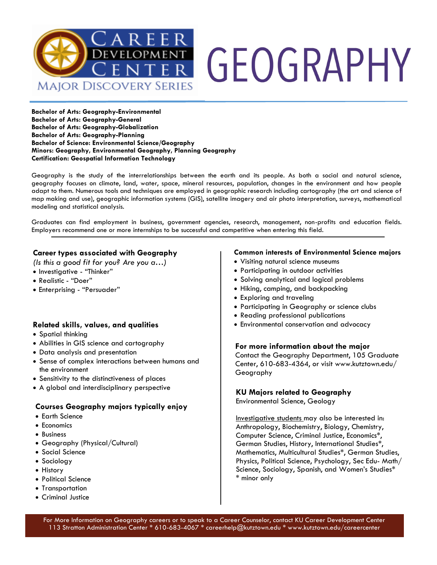

**Bachelor of Arts: Geography-Environmental Bachelor of Arts: Geography-General Bachelor of Arts: Geography-Globalization Bachelor of Arts: Geography-Planning Bachelor of Science: Environmental Science/Geography Minors: Geography, Environmental Geography, Planning Geography Certification: Geospatial Information Technology**

Geography is the study of the interrelationships between the earth and its people. As both a social and natural science, geography focuses on climate, land, water, space, mineral resources, population, changes in the environment and how people adapt to them. Numerous tools and techniques are employed in geographic research including cartography (the art and science of map making and use), geographic information systems (GIS), satellite imagery and air photo interpretation, surveys, mathematical modeling and statistical analysis.

Graduates can find employment in business, government agencies, research, management, non-profits and education fields. Employers recommend one or more internships to be successful and competitive when entering this field.

#### **Career types associated with Geography**

*(Is this a good fit for you? Are you a…)*

- Investigative "Thinker"
- Realistic "Doer"
- Enterprising "Persuader"

#### **Related skills, values, and qualities**

- Spatial thinking
- Abilities in GIS science and cartography
- Data analysis and presentation
- Sense of complex interactions between humans and the environment
- Sensitivity to the distinctiveness of places
- A global and interdisciplinary perspective

#### **Courses Geography majors typically enjoy**

- Earth Science
- Economics
- Business
- Geography (Physical/Cultural)
- Social Science
- Sociology
- History
- Political Science
- Transportation
- Criminal Justice

#### **Common interests of Environmental Science majors**

- Visiting natural science museums
- Participating in outdoor activities
- Solving analytical and logical problems
- Hiking, camping, and backpacking
- Exploring and traveling
- Participating in Geography or science clubs
- Reading professional publications
- Environmental conservation and advocacy

#### **For more information about the major**

Contact the Geography Department, 105 Graduate Center, 610-683-4364, or visit www.kutztown.edu/ Geography

#### **KU Majors related to Geography**

Environmental Science, Geology

Investigative students may also be interested in: Anthropology, Biochemistry, Biology, Chemistry, Computer Science, Criminal Justice, Economics\*, German Studies, History, International Studies\*, Mathematics, Multicultural Studies\*, German Studies, Physics, Political Science, Psychology, Sec Edu- Math/ Science, Sociology, Spanish, and Women's Studies\* \* minor only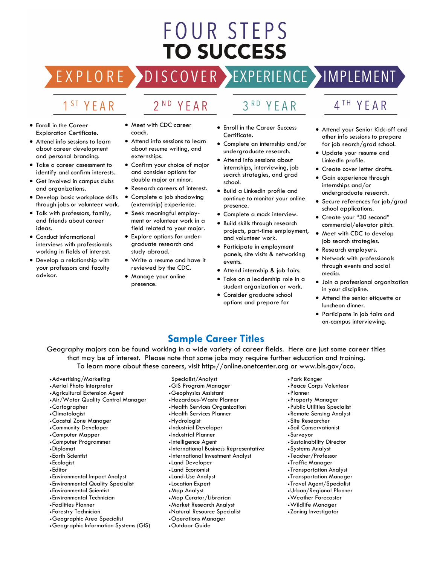# FOUR STEPS **TO SUCCESS**

## DISCOVER EXPERIENCE MOPLEMENT

2<sup>ND</sup> YEAR

### 1<sup>ST</sup> YEAR

EXPLORE >

- Enroll in the Career Exploration Certificate.
- Attend info sessions to learn about career development and personal branding.
- Take a career assessment to identify and confirm interests.
- Get involved in campus clubs and organizations.
- Develop basic workplace skills through jobs or volunteer work.
- Talk with professors, family, and friends about career ideas.
- Conduct informational interviews with professionals working in fields of interest.
- Develop a relationship with your professors and faculty advisor.
- Meet with CDC career coach.
- Attend info sessions to learn about resume writing, and externships.
- Confirm your choice of major and consider options for double major or minor.
- Research careers of interest.
- Complete a job shadowing (externship) experience.
- Seek meaningful employment or volunteer work in a field related to your major.
- Explore options for undergraduate research and study abroad.
- Write a resume and have it reviewed by the CDC.
- Manage your online presence.
- 3RD YEAR
- Enroll in the Career Success Certificate.
- Complete an internship and/or undergraduate research.
- Attend info sessions about internships, interviewing, job search strategies, and grad school.
- Build a LinkedIn profile and continue to monitor your online presence.
- Complete a mock interview.
- Build skills through research projects, part-time employment, and volunteer work.
- Participate in employment panels, site visits & networking events.
- Attend internship & job fairs.
- Take on a leadership role in a student organization or work.
- Consider graduate school options and prepare for

### 4TH YEAR

- Attend your Senior Kick-off and other info sessions to prepare for job search/grad school.
- Update your resume and LinkedIn profile.
- Create cover letter drafts.
- Gain experience through internships and/or undergraduate research.
- Secure references for job/grad school applications.
- Create your "30 second" commercial/elevator pitch.
- Meet with CDC to develop job search strategies.
- Research employers.
- Network with professionals through events and social media.
- Join a professional organization in your discipline.
- Attend the senior etiquette or luncheon dinner.
- Participate in job fairs and on-campus interviewing.

### **Sample Career Titles**

Geography majors can be found working in a wide variety of career fields. Here are just some career titles that may be of interest. Please note that some jobs may require further education and training. To learn more about these careers, visit http://online.onetcenter.org or www.bls.gov/oco.

- •Advertising/Marketing
- •Aerial Photo Interpreter
- •Agricultural Extension Agent
- •Air/Water Quality Control Manager
- •Cartographer
- •Climatologist
- •Coastal Zone Manager
- •Community Developer
- •Computer Mapper
- •Computer Programmer
- •Diplomat
- Earth Scientist
- Ecologist
- Editor
- Environmental Impact Analyst
- Environmental Quality Specialist
- Environmental Scientist
- Environmental Technician
- Facilities Planner
- Forestry Technician
- •Geographic Area Specialist
- •Geographic Information Systems (GIS)
- Specialist/Analyst
- •GIS Program Manager
- •Geophysics Assistant
- •Hazardous-Waste Planner
- •Health Services Organization
- •Health Services Planner
- •Hydrologist
- Industrial Developer
- Industrial Planner
- Intelligence Agent
- International Business Representative
- International Investment Analyst
- Land Developer
- Land Economist
- Land-Use Analyst
- Location Expert
- •Map Analyst
- •Map Curator/Librarian
- •Market Research Analyst
- •Natural Resource Specialist
- •Operations Manager
- •Outdoor Guide
- •Park Ranger
- •Peace Corps Volunteer
- •Planner
- •Property Manager
- •Public Utilities Specialist
- •Remote Sensing Analyst
- •Site Researcher
- •Soil Conservationist
- •Surveyor
- •Sustainability Director

•Systems Analyst • Teacher/Professor • Traffic Manager • Transportation Analyst • Transportation Manager • Travel Agent/Specialist •Urban/Regional Planner •Weather Forecaster •Wildlife Manager •Zoning Investigator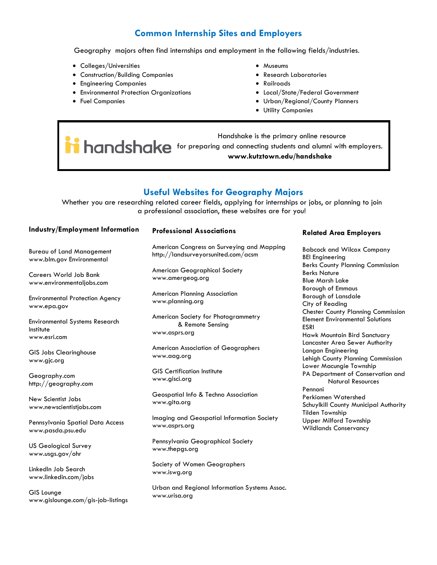### **Common Internship Sites and Employers**

Geography majors often find internships and employment in the following fields/industries.

- Colleges/Universities
- Construction/Building Companies
- Engineering Companies
- Environmental Protection Organizations
- Fuel Companies
- Museums
- Research Laboratories
- Railroads
- Local/State/Federal Government
- Urban/Regional/County Planners
- Utility Companies

 Handshake is the primary online resource **for handshake** for preparing and connecting students and alumni with employers. **www.kutztown.edu/handshake**

#### **Useful Websites for Geography Majors**

Whether you are researching related career fields, applying for internships or jobs, or planning to join a professional association, these websites are for you!

#### **Industry/Employment Information**

Bureau of Land Management www.blm.gov Environmental

Careers World Job Bank www.environmentaljobs.com

Environmental Protection Agency www.epa.gov

Environmental Systems Research Institute www.esri.com

GIS Jobs Clearinghouse www.gjc.org

Geography.com http://geography.com

New Scientist Jobs www.newscientistjobs.com

Pennsylvania Spatial Data Access www.pasda.psu.edu

US Geological Survey www.usgs.gov/ohr

LinkedIn Job Search www.linkedin.com/jobs

GIS Lounge www.gislounge.com/gis-job-listings

#### **Professional Associations**

American Congress on Surveying and Mapping http://landsurveyorsunited.com/acsm

American Geographical Society www.amergeog.org

American Planning Association www.planning.org

American Society for Photogrammetry & Remote Sensing www.asprs.org

American Association of Geographers www.aag.org

GIS Certification Institute www.gisci.org

Geospatial Info & Techno Association www.gita.org

Imaging and Geospatial Information Society www.asprs.org

Pennsylvania Geographical Society www.thepgs.org

Society of Women Geographers www.iswg.org

Urban and Regional Information Systems Assoc. www.urisa.org

#### **Related Area Employers**

Babcock and Wilcox Company BEI Engineering Berks County Planning Commission Berks Nature Blue Marsh Lake Borough of Emmaus Borough of Lansdale City of Reading Chester County Planning Commission Element Environmental Solutions ESRI Hawk Mountain Bird Sanctuary Lancaster Area Sewer Authority Langan Engineering Lehigh County Planning Commission Lower Macungie Township PA Department of Conservation and Natural Resources Pennoni Perkiomen Watershed Schuylkill County Municipal Authority Tilden Township Upper Milford Township Wildlands Conservancy